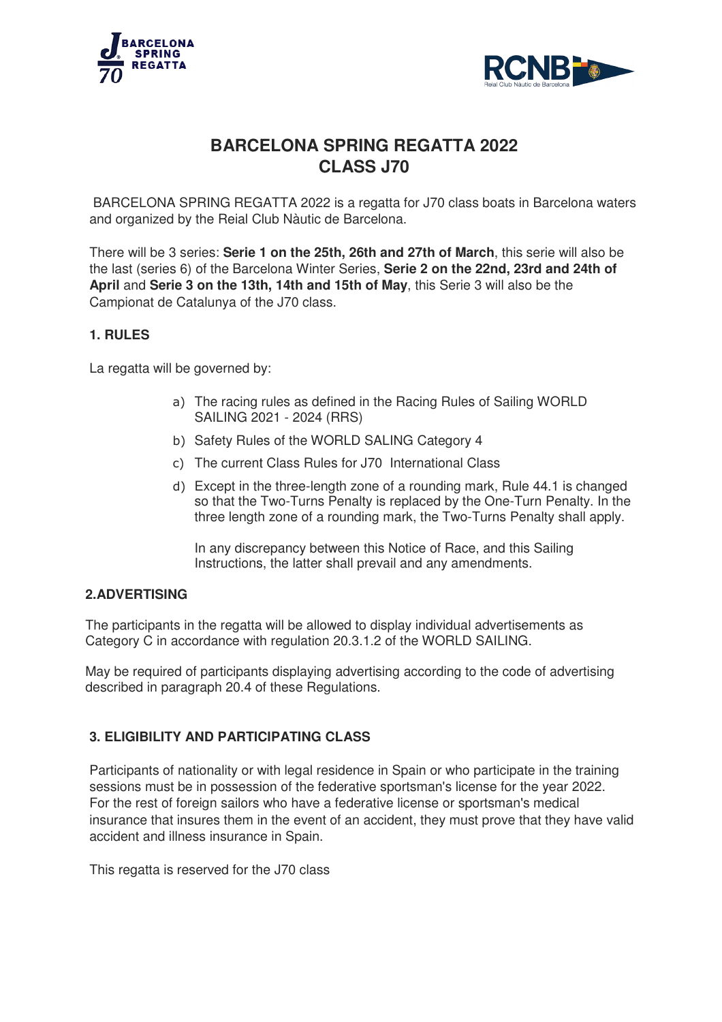



# **BARCELONA SPRING SPRING REGATTA 2022 CLASS J70**

BARCELONA SPRING REGATTA 2022 is a regatta for J70 class boats in Barcelona waters and organized by the Reial Club Nàutic de Barcelona.

There will be 3 series: **Serie 1 on the 25th, 26th and 27th of March** , this serie serie will also be the last (series 6) of the Barcelona Winter Series, **Serie 2 on the 22nd, 23rd and 24th of April** and **Serie 3 on the 13th, 14th and 15th of May** , this Serie 3 will also be the Campionat de Catalunya of the J70 class.

## **1. RULES**

La regatta will be governed by:

- a) The racing rules as defined in the Racing Rules of Sailing WORLD talunya of the J70 class.<br>governed by:<br>The racing rules as defined ir<br>SAILING 2021 - 2024 (RRS)
- b) Safety Rules of the WORLD SALING Category 4
- c) The current Class Rules for J70 International Class
- d) Except in the three-length zone of a rounding mark, Rule 44.1 is changed so that the Two Two-Turns Penalty is replaced by the One-Turn Penalty. In the three length zone of a rounding mark, the Two-Turns Penalty shall apply. length zone of a rounding mark, Rule 44.1 is chang<br>ns Penalty is replaced by the One-Turn Penalty. In<br>f a rounding mark, the Two-Turns Penalty shall app<br>between this Notice of Race, and this Sailing<br>er shall prevail and an

In any discrepancy between this Notice of Race, and this Sailing Instructions, the latter shall prevail and any amendments.

## **2.ADVERTISING**

The participants in the regatta will be allowed to display individual advertisements as Category C in accordance with regulation 20.3.1.2 of the WORLD SAILING.

May be required of participants displaying advertising according to the code of advertising described in paragraph 20.4 of these Regulations.

## **3. ELIGIBILITY AND PARTICIPATING CLASS**

Participants of nationality or with legal residence in Spain or who participate in the training described in paragraph 20.4 of these Regulations.<br> **3. ELIGIBILITY AND PARTICIPATING CLASS**<br>
Participants of nationality or with legal residence in Spain or who participate in the train<br>sessions must be in possession of th For the rest of foreign sailors who have a federative license or sportsman's medical insurance that insures them in the event of an accident, they must prove that they have valid accident and illness insurance in Spain.

This regatta is reserved for the J70 class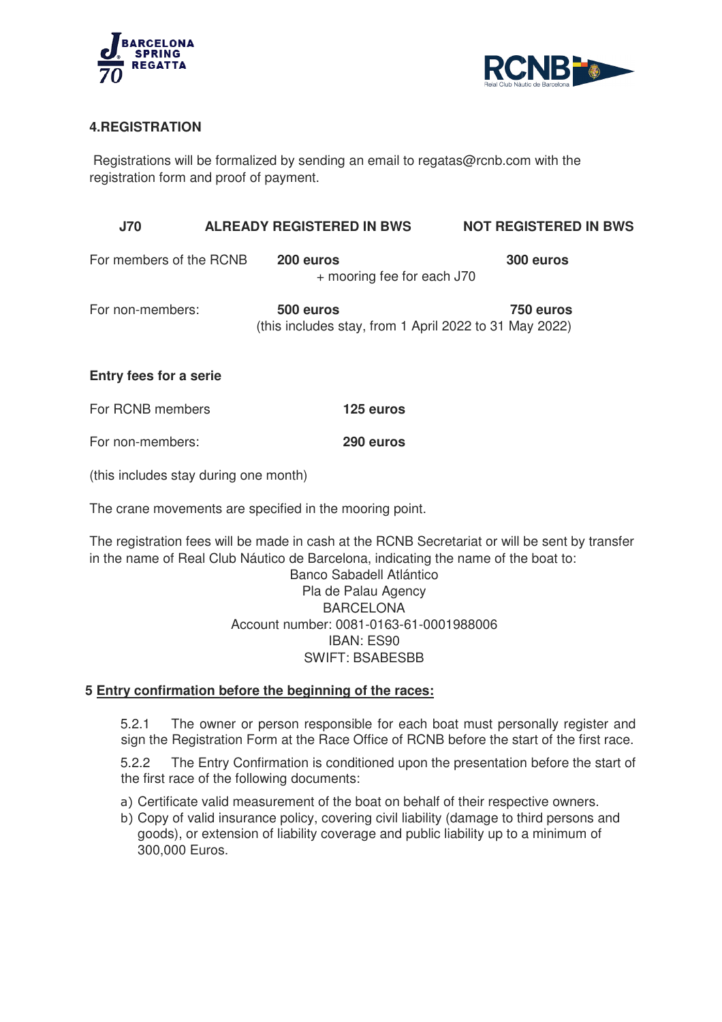



## **4.REGISTRATION**

Registrations will be formalized by sending an email to regatas@rcnb.com with the registration form and proof of payment.

| <b>J70</b>              | <b>ALREADY REGISTERED IN BWS</b>                                    | <b>NOT REGISTERED IN BWS</b> |
|-------------------------|---------------------------------------------------------------------|------------------------------|
| For members of the RCNB | 200 euros<br>+ mooring fee for each J70                             | 300 euros                    |
| For non-members:        | 500 euros<br>(this includes stay, from 1 April 2022 to 31 May 2022) | 750 euros                    |

## **Entry fees for a serie**

| For RCNB members | 125 euros |
|------------------|-----------|
|------------------|-----------|

For non-members: **290 euros**

(this includes stay during one month)

The crane movements are specified in the mooring point.

The registration fees will be made in cash at the RCNB Secretariat or will be sent by transfer in the name of Real Club Náutico de Barcelona, indicating the name of the boat to:

> Account number: 0081 0081-0163-61-0001988006 Banco Sabadell Atlántico Pla de Palau Agency BARCELONA IBAN: ES90 SWIFT: BSABESBB

## **5 Entry confirmation before the beginning of the races:**

5.2.1 The owner or person responsible for each boat must personally register and sign the Registration Form at the Race Office of RCNB before the start of the first race.

5.2.2 The Entry Confirmation is conditioned upon the presentation before the start of the first race of the following documents:

- a) Certificate valid measurement of the boat on behalf of their respective owners.
- b) Copy of valid insurance policy, covering civil liability (damage to third persons and goods), or extension of liability coverage and public liability up to a minimum of 300,000 Euros.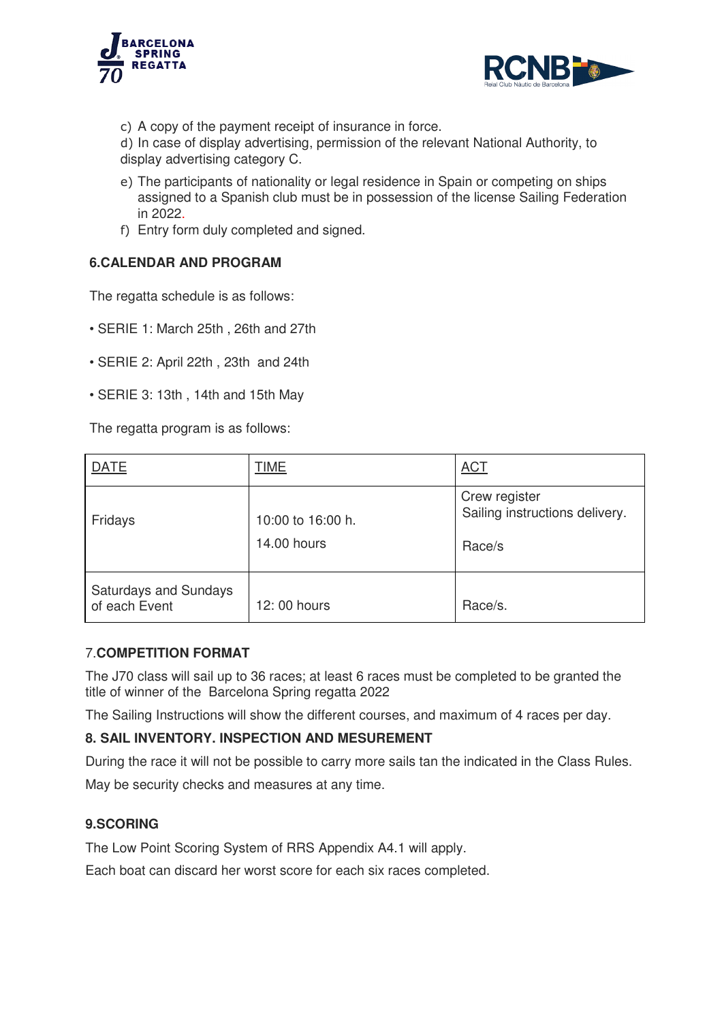



c) A copy of the payment receipt of insurance in force.

d) In case of display advertising, permission of the relevant National Authority, to display advertising category C.

- e) The participants of nationality or legal residence in Spain or competing on ships assigned to a Spanish club must be in possession of the li license Sailing Federation in 2022.
- f) Entry form duly completed and signed.

## **6.CALENDAR AND PROGRAM CALENDAR**

- SERIE 1: March 25th, 26th and 27th
- SERIE 2: April 22th , 23th and 24 24th
- SERIE 3: 13th , 14th and 15 15th May

| in 2022.                                      | e) The participants of nationality or legal residence in Spain or competing on ships<br>assigned to a Spanish club must be in possession of the license Sailing Federation |                                                           |  |  |
|-----------------------------------------------|----------------------------------------------------------------------------------------------------------------------------------------------------------------------------|-----------------------------------------------------------|--|--|
| f) Entry form duly completed and signed.      |                                                                                                                                                                            |                                                           |  |  |
| <b>6.CALENDAR AND PROGRAM</b>                 |                                                                                                                                                                            |                                                           |  |  |
| The regatta schedule is as follows:           |                                                                                                                                                                            |                                                           |  |  |
| • SERIE 1: March 25th, 26th and 27th          |                                                                                                                                                                            |                                                           |  |  |
| · SERIE 2: April 22th, 23th and 24th          |                                                                                                                                                                            |                                                           |  |  |
| • SERIE 3: 13th, 14th and 15th May            |                                                                                                                                                                            |                                                           |  |  |
| The regatta program is as follows:            |                                                                                                                                                                            |                                                           |  |  |
| <b>DATE</b>                                   | <b>TIME</b>                                                                                                                                                                | <b>ACT</b>                                                |  |  |
| Fridays                                       | 10:00 to 16:00 h.<br>14.00 hours                                                                                                                                           | Crew register<br>Sailing instructions delivery.<br>Race/s |  |  |
| <b>Saturdays and Sundays</b><br>of each Event | 12:00 hours                                                                                                                                                                | Race/s.                                                   |  |  |
| <b>7.COMPETITION FORMAT</b>                   | The J70 class will sail up to 36 races; at least 6 races must be completed to be granted the                                                                               |                                                           |  |  |

## 7.**COMPETITION FORMAT**

The J70 class will sail up to 36 races; at least 6 races must be completed to be granted the title of winner of the Barcelona Spring regatta 2022

The Sailing Instructions will show the different courses, and maximum of 4 races per day.

## **8. SAIL INVENTORY. INSPECTION AND MESU MESUREMENT**

During the race it will not be possible to carry more sails tan the indicated in the Class Rules. May be security checks and measures at any time.

## **9.SCORING**

The Low Point Scoring System of RRS Appendix A4.1 will apply.

Each boat can discard her worst score for each six races completed.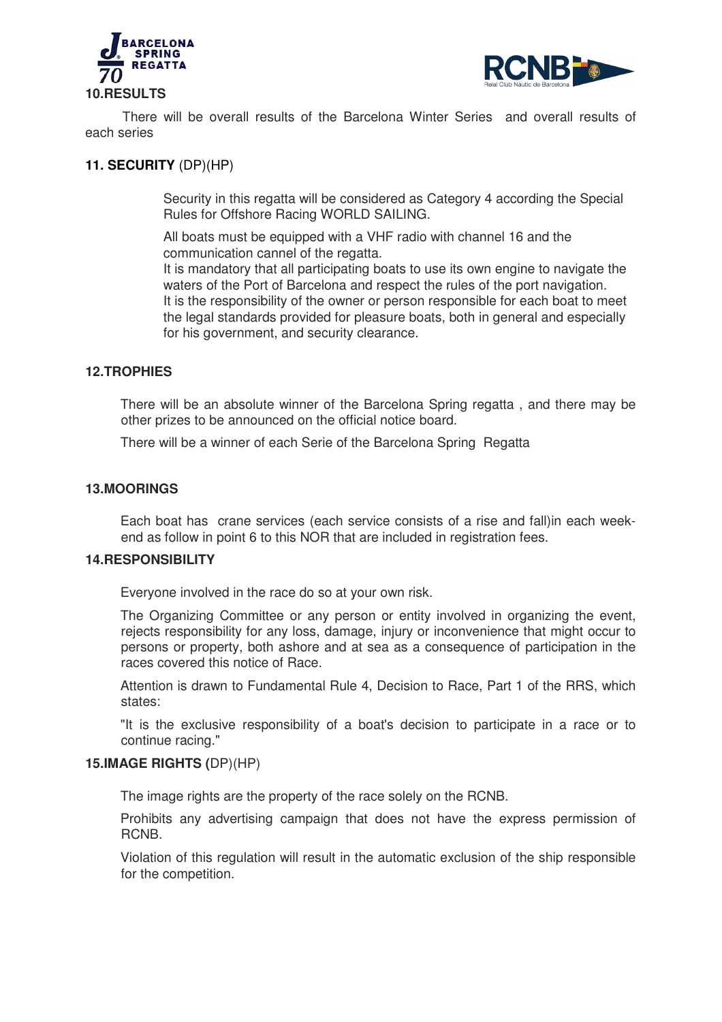



There will be overall results of the Barcelona Winter Series and overall results of each series

## **11. SECURITY** (DP)(HP)

Security in this regatta will be considered as Category 4 according the Special Rules for Offshore Racing WORLD SAILING.

All boats must be equipped with a VHF radio with channel 16 and the communication cannel of the regatta.

It is mandatory that all participating boats to use its own engine to navigate the waters of the Port of Barcelona and respect the rules of the port navigation. It is the responsibility of the owner or person responsible for each boat to meet the legal standards provided for pleasure boats, both in general and especially for his government, and security clearance. isticular of the Barcelona Winter Series and overall result<br>P)(HP)<br>P)(HP)<br>P)(HP)<br>in this regatta will be considered as Category 4 according the Spec<br>s for Offshore Racing WORLD SAILING.<br>ans must be equipped with a VHF radi

### **12.TROPHIES**

There will be an absolute winner of the Barcelona Spring regatta, and there may be other prizes to be announced on the official notice board.

There will be a winner of each Serie of the Barcelona Spring Regatta

### **13.MOORINGS**

Each boat has crane services (each service consists of a rise and fall)in each week weekend as follow in point 6 to this NOR that are included in registration fees.

#### **14.RESPONSIBILITY**

Everyone involved in the race do so at your own risk.

The Organizing Committee or any person or entity involved in organizing the event, rejects responsibility for any loss, damage, injury or inconvenience that might occur to persons or property, both ashore and at sea as a consequence of participation in the races covered this notice of Race.

Attention is drawn to Fundamental Rule 4, Decision to Race, Part 1 of the RRS, which states:

"It is the exclusive responsibility of a boat's decision to participate in a race or to continue racing."

#### **15.IMAGE RIGHTS (**DP)(HP)

The image rights are the property of the race solely on the RCNB.

Prohibits any advertising campaign that does not have the express permission of RCNB.

Violation of this regulation will result in the automatic exclusion of the ship responsible for the competition.